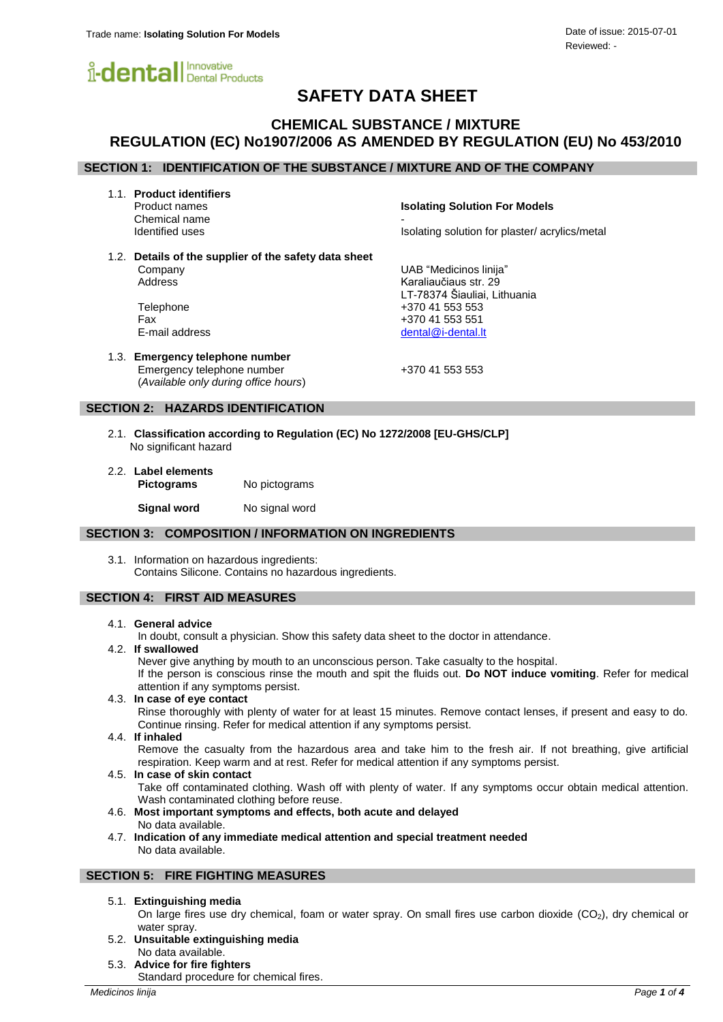

# **SAFETY DATA SHEET**

## **CHEMICAL SUBSTANCE / MIXTURE REGULATION (EC) No1907/2006 AS AMENDED BY REGULATION (EU) No 453/2010**

## **SECTION 1: IDENTIFICATION OF THE SUBSTANCE / MIXTURE AND OF THE COMPANY**

1.1. **Product identifiers**

Chemical name<br>Identified uses

Product names **Isolating Solution For Models**

LT-78374 Šiauliai, Lithuania

Isolating solution for plaster/ acrylics/metal

1.2. **Details of the supplier of the safety data sheet** Company UAB "Medicinos linija" Address Karaliaučiaus str. 29

Telephone +370 41 553 553 Fax +370 41 553 551 E-mail address [dental@i-dental.lt](mailto:dental@i-dental.lt)

1.3. **Emergency telephone number** Emergency telephone number +370 41 553 553 (*Available only during office hours*)

## **SECTION 2: HAZARDS IDENTIFICATION**

- 2.1. **Classification according to Regulation (EC) No 1272/2008 [EU-GHS/CLP]** No significant hazard
- 2.2. **Label elements Pictograms** No pictograms

**Signal word** No signal word

#### **SECTION 3: COMPOSITION / INFORMATION ON INGREDIENTS**

3.1. Information on hazardous ingredients: Contains Silicone. Contains no hazardous ingredients.

## **SECTION 4: FIRST AID MEASURES**

#### 4.1. **General advice**

In doubt, consult a physician. Show this safety data sheet to the doctor in attendance.

4.2. **If swallowed**

Never give anything by mouth to an unconscious person. Take casualty to the hospital. If the person is conscious rinse the mouth and spit the fluids out. **Do NOT induce vomiting**. Refer for medical attention if any symptoms persist.

4.3. **In case of eye contact** Rinse thoroughly with plenty of water for at least 15 minutes. Remove contact lenses, if present and easy to do.

Continue rinsing. Refer for medical attention if any symptoms persist.

4.4. **If inhaled**

Remove the casualty from the hazardous area and take him to the fresh air. If not breathing, give artificial respiration. Keep warm and at rest. Refer for medical attention if any symptoms persist.

4.5. **In case of skin contact**

Take off contaminated clothing. Wash off with plenty of water. If any symptoms occur obtain medical attention. Wash contaminated clothing before reuse.

- 4.6. **Most important symptoms and effects, both acute and delayed** No data available.
- 4.7. **Indication of any immediate medical attention and special treatment needed** No data available.

#### **SECTION 5: FIRE FIGHTING MEASURES**

#### 5.1. **Extinguishing media**

On large fires use dry chemical, foam or water spray. On small fires use carbon dioxide  $(CO<sub>2</sub>)$ , dry chemical or water spray.

- 5.2. **Unsuitable extinguishing media** No data available.
- 5.3. **Advice for fire fighters**

Standard procedure for chemical fires.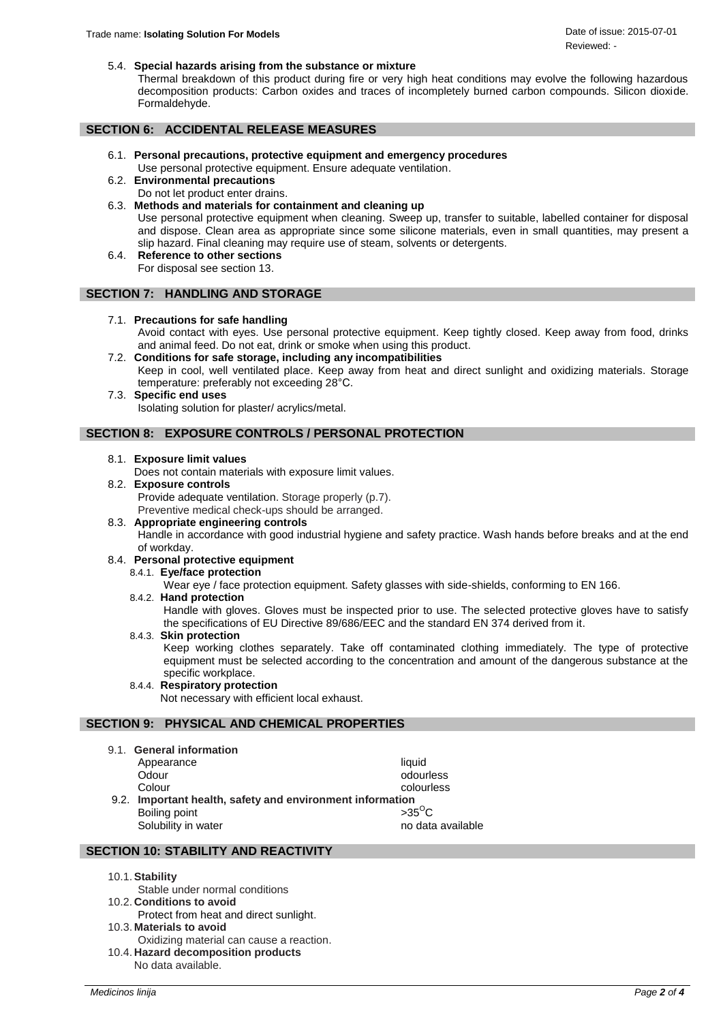5.4. **Special hazards arising from the substance or mixture**

Thermal breakdown of this product during fire or very high heat conditions may evolve the following hazardous decomposition products: Carbon oxides and traces of incompletely burned carbon compounds. Silicon dioxide. Formaldehyde.

### **SECTION 6: ACCIDENTAL RELEASE MEASURES**

- 6.1. **Personal precautions, protective equipment and emergency procedures** Use personal protective equipment. Ensure adequate ventilation.
- 6.2. **Environmental precautions** Do not let product enter drains.
- 6.3. **Methods and materials for containment and cleaning up** Use personal protective equipment when cleaning. Sweep up, transfer to suitable, labelled container for disposal and dispose. Clean area as appropriate since some silicone materials, even in small quantities, may present a slip hazard. Final cleaning may require use of steam, solvents or detergents.
- 6.4. **Reference to other sections** For disposal see section 13.

## **SECTION 7: HANDLING AND STORAGE**

- 7.1. **Precautions for safe handling** Avoid contact with eyes. Use personal protective equipment. Keep tightly closed. Keep away from food, drinks and animal feed. Do not eat, drink or smoke when using this product. 7.2. **Conditions for safe storage, including any incompatibilities**
- Keep in cool, well ventilated place. Keep away from heat and direct sunlight and oxidizing materials. Storage temperature: preferably not exceeding 28°C.
- 7.3. **Specific end uses** Isolating solution for plaster/ acrylics/metal.

## **SECTION 8: EXPOSURE CONTROLS / PERSONAL PROTECTION**

#### 8.1. **Exposure limit values**

Does not contain materials with exposure limit values.

8.2. **Exposure controls** Provide adequate ventilation. Storage properly (p.7).

Preventive medical check-ups should be arranged.

8.3. **Appropriate engineering controls**

Handle in accordance with good industrial hygiene and safety practice. Wash hands before breaks and at the end of workday.

#### 8.4. **Personal protective equipment**

8.4.1. **Eye/face protection**

Wear eye / face protection equipment. Safety glasses with side-shields, conforming to EN 166.

8.4.2. **Hand protection**

Handle with gloves. Gloves must be inspected prior to use. The selected protective gloves have to satisfy the specifications of EU Directive 89/686/EEC and the standard EN 374 derived from it.

8.4.3. **Skin protection**

Keep working clothes separately. Take off contaminated clothing immediately. The type of protective equipment must be selected according to the concentration and amount of the dangerous substance at the specific workplace.

8.4.4. **Respiratory protection** Not necessary with efficient local exhaust.

## **SECTION 9: PHYSICAL AND CHEMICAL PROPERTIES**

9.1. **General information**

| Appearance                                                | liauid            |
|-----------------------------------------------------------|-------------------|
| Odour                                                     | odourless         |
| Colour                                                    | colourless        |
| 9.2. Important health, safety and environment information |                   |
| Boiling point                                             | $>35^{\circ}$ C   |
| Solubility in water                                       | no data available |

## **SECTION 10: STABILITY AND REACTIVITY**

## 10.1.**Stability**

- Stable under normal conditions 10.2. **Conditions to avoid**
- Protect from heat and direct sunlight. 10.3. **Materials to avoid**
- 
- Oxidizing material can cause a reaction. 10.4. **Hazard decomposition products** No data available.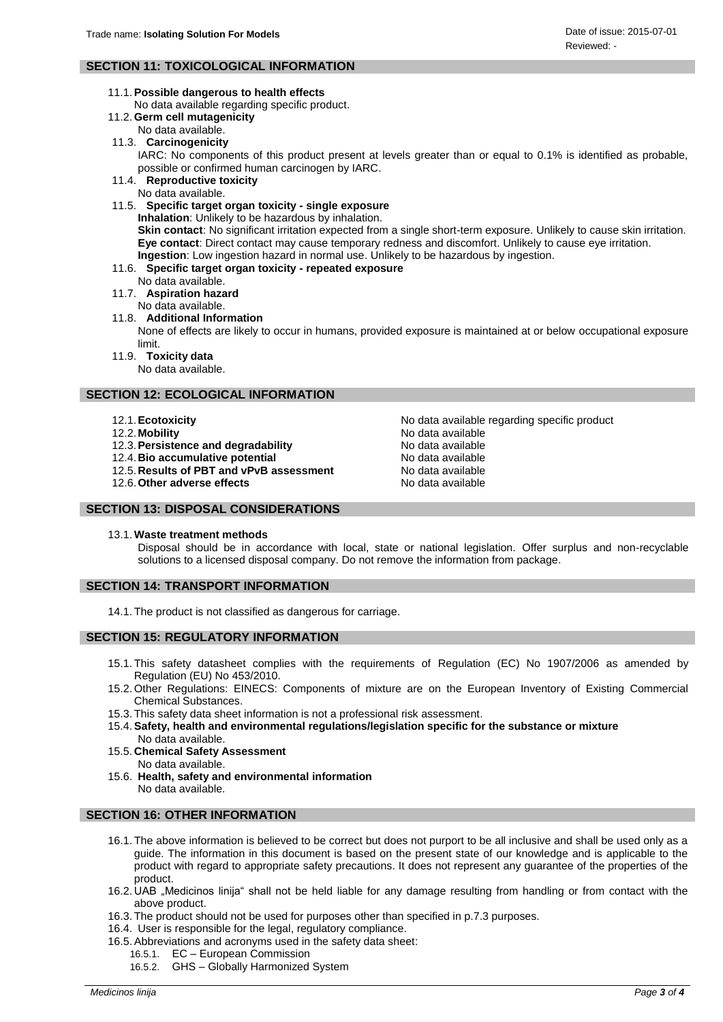## **SECTION 11: TOXICOLOGICAL INFORMATION**

11.1.**Possible dangerous to health effects**

No data available regarding specific product.

- 11.2. **Germ cell mutagenicity**
	- No data available.
- 11.3. **Carcinogenicity**

IARC: No components of this product present at levels greater than or equal to 0.1% is identified as probable, possible or confirmed human carcinogen by IARC.

11.4. **Reproductive toxicity**

No data available.

11.5. **Specific target organ toxicity - single exposure**

**Inhalation**: Unlikely to be hazardous by inhalation. **Skin contact**: No significant irritation expected from a single short-term exposure. Unlikely to cause skin irritation. **Eye contact**: Direct contact may cause temporary redness and discomfort. Unlikely to cause eye irritation.

**Ingestion**: Low ingestion hazard in normal use. Unlikely to be hazardous by ingestion.

- 11.6. **Specific target organ toxicity - repeated exposure**
	- No data available.
- 11.7. **Aspiration hazard**
	- No data available.
- 11.8. **Additional Information**

None of effects are likely to occur in humans, provided exposure is maintained at or below occupational exposure limit.

11.9. **Toxicity data**

No data available.

## **SECTION 12: ECOLOGICAL INFORMATION**

- 
- 
- 12.3. **Persistence and degradability No data available**<br>12.4. Bio accumulative potential **No data available**
- 
- 12.4. **Bio accumulative potential example 31 and 12.5.** No data available 12.5. Results of PBT and vPvB assessment 12.5. Results of PBT and vPvB assessment
- 12.6. Other adverse effects and a state of the No data available

12.1.**Ecotoxicity** No data available regarding specific product 12.2. Mobility **No. 2.2.** Mobility **No. 2.2.** Modata available

## **SECTION 13: DISPOSAL CONSIDERATIONS**

13.1. **Waste treatment methods**

Disposal should be in accordance with local, state or national legislation. Offer surplus and non-recyclable solutions to a licensed disposal company. Do not remove the information from package.

#### **SECTION 14: TRANSPORT INFORMATION**

14.1. The product is not classified as dangerous for carriage.

## **SECTION 15: REGULATORY INFORMATION**

- 15.1. This safety datasheet complies with the requirements of Regulation (EC) No 1907/2006 as amended by Regulation (EU) No 453/2010.
- 15.2. Other Regulations: EINECS: Components of mixture are on the European Inventory of Existing Commercial Chemical Substances.
- 15.3. This safety data sheet information is not a professional risk assessment.
- 15.4.**Safety, health and environmental regulations/legislation specific for the substance or mixture** No data available.
- 15.5. **Chemical Safety Assessment** No data available.
- 15.6. **Health, safety and environmental information** No data available.

## **SECTION 16: OTHER INFORMATION**

- 16.1. The above information is believed to be correct but does not purport to be all inclusive and shall be used only as a guide. The information in this document is based on the present state of our knowledge and is applicable to the product with regard to appropriate safety precautions. It does not represent any guarantee of the properties of the product.
- 16.2. UAB "Medicinos linija" shall not be held liable for any damage resulting from handling or from contact with the above product.
- 16.3. The product should not be used for purposes other than specified in p.7.3 purposes.
- 16.4. User is responsible for the legal, regulatory compliance.
- 16.5.Abbreviations and acronyms used in the safety data sheet:
	- 16.5.1. EC European Commission
		- 16.5.2. GHS Globally Harmonized System